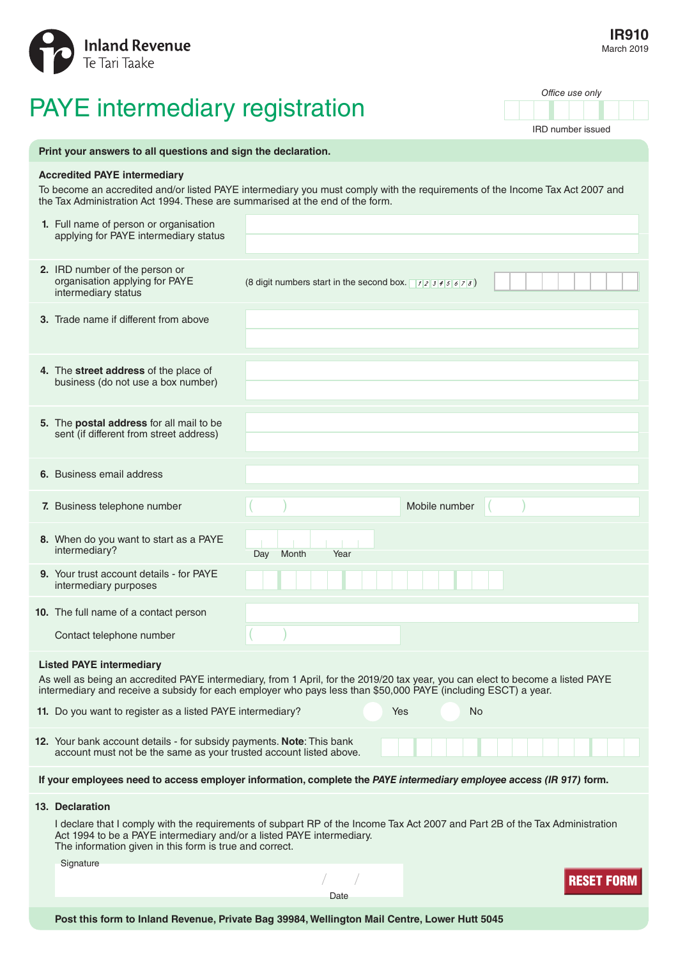

## PAYE intermediary registration

IRD number issued

*Office use only*

| Print your answers to all questions and sign the declaration.                                                                                                                                                                                                                        |                                                                                                                                             |                                                                                                                              |
|--------------------------------------------------------------------------------------------------------------------------------------------------------------------------------------------------------------------------------------------------------------------------------------|---------------------------------------------------------------------------------------------------------------------------------------------|------------------------------------------------------------------------------------------------------------------------------|
| <b>Accredited PAYE intermediary</b><br>To become an accredited and/or listed PAYE intermediary you must comply with the requirements of the Income Tax Act 2007 and<br>the Tax Administration Act 1994. These are summarised at the end of the form.                                 |                                                                                                                                             |                                                                                                                              |
|                                                                                                                                                                                                                                                                                      | 1. Full name of person or organisation<br>applying for PAYE intermediary status                                                             |                                                                                                                              |
|                                                                                                                                                                                                                                                                                      | 2. IRD number of the person or<br>organisation applying for PAYE<br>intermediary status                                                     | (8 digit numbers start in the second box. $\sqrt{12345678}$ )                                                                |
|                                                                                                                                                                                                                                                                                      | 3. Trade name if different from above                                                                                                       |                                                                                                                              |
|                                                                                                                                                                                                                                                                                      | 4. The street address of the place of<br>business (do not use a box number)                                                                 |                                                                                                                              |
|                                                                                                                                                                                                                                                                                      | 5. The postal address for all mail to be<br>sent (if different from street address)                                                         |                                                                                                                              |
|                                                                                                                                                                                                                                                                                      | 6. Business email address                                                                                                                   |                                                                                                                              |
|                                                                                                                                                                                                                                                                                      | 7. Business telephone number                                                                                                                | Mobile number                                                                                                                |
|                                                                                                                                                                                                                                                                                      | 8. When do you want to start as a PAYE<br>intermediary?                                                                                     | Month<br>Year<br>Day                                                                                                         |
|                                                                                                                                                                                                                                                                                      | 9. Your trust account details - for PAYE<br>intermediary purposes                                                                           |                                                                                                                              |
|                                                                                                                                                                                                                                                                                      | <b>10.</b> The full name of a contact person                                                                                                |                                                                                                                              |
|                                                                                                                                                                                                                                                                                      | Contact telephone number                                                                                                                    |                                                                                                                              |
| <b>Listed PAYE intermediary</b><br>As well as being an accredited PAYE intermediary, from 1 April, for the 2019/20 tax year, you can elect to become a listed PAYE<br>intermediary and receive a subsidy for each employer who pays less than \$50,000 PAYE (including ESCT) a year. |                                                                                                                                             |                                                                                                                              |
|                                                                                                                                                                                                                                                                                      | 11. Do you want to register as a listed PAYE intermediary?<br>Yes<br>No                                                                     |                                                                                                                              |
|                                                                                                                                                                                                                                                                                      | 12. Your bank account details - for subsidy payments. Note: This bank<br>account must not be the same as your trusted account listed above. |                                                                                                                              |
| If your employees need to access employer information, complete the PAYE intermediary employee access (IR 917) form.                                                                                                                                                                 |                                                                                                                                             |                                                                                                                              |
|                                                                                                                                                                                                                                                                                      | 13. Declaration                                                                                                                             |                                                                                                                              |
|                                                                                                                                                                                                                                                                                      | Act 1994 to be a PAYE intermediary and/or a listed PAYE intermediary.<br>The information given in this form is true and correct.            | I declare that I comply with the requirements of subpart RP of the Income Tax Act 2007 and Part 2B of the Tax Administration |
|                                                                                                                                                                                                                                                                                      | Signature                                                                                                                                   |                                                                                                                              |
|                                                                                                                                                                                                                                                                                      |                                                                                                                                             | RESEI<br>Date                                                                                                                |
|                                                                                                                                                                                                                                                                                      |                                                                                                                                             |                                                                                                                              |